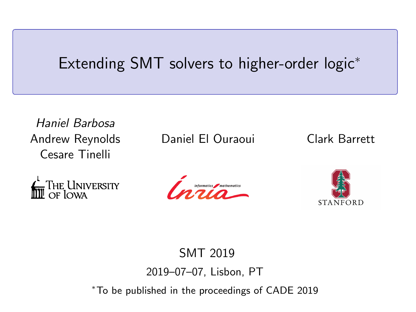### <span id="page-0-0"></span>Extending SMT solvers to higher-order logic<sup>∗</sup>

Haniel Barbosa Andrew Reynolds Cesare Tinelli

**FULLY THE UNIVERSITY** 

Daniel El Ouraoui Clark Barrett





SMT 2019 2019–07–07, Lisbon, PT <sup>∗</sup>To be published in the proceedings of CADE 2019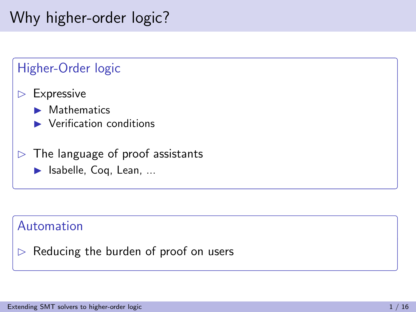# Why higher-order logic?



### Automation

 $\triangleright$  Reducing the burden of proof on users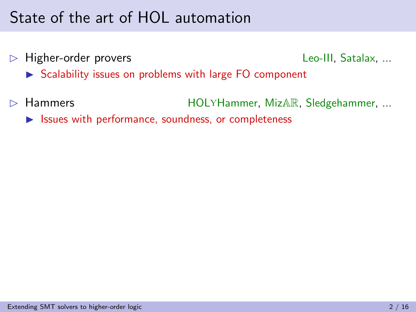# State of the art of HOL automation

 $\triangleright$  Higher-order provers Leo-III, Satalax, ...

- $\triangleright$  Scalability issues on problems with large FO component
- D Hammers HOLYHammer, MizAR, Sledgehammer, ...

 $\triangleright$  Issues with performance, soundness, or completeness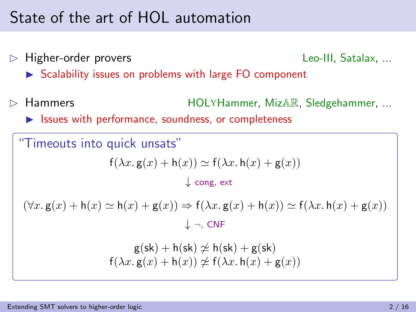### State of the art of HOL automation

 $\triangleright$  Higher-order provers Leo-III, Satalax, ...

- $\triangleright$  Scalability issues on problems with large FO component
- Hammers **HOLYHammer, MizAR, Sledgehammer, ...** 
	- $\triangleright$  Issues with performance, soundness, or completeness

"Timeouts into quick unsats"  $f(\lambda x. g(x) + h(x)) \simeq f(\lambda x. h(x) + g(x))$ ↓ cong, ext  $(\forall x. g(x) + h(x) \simeq h(x) + g(x)) \Rightarrow f(\lambda x. g(x) + h(x)) \simeq f(\lambda x. h(x) + g(x))$ ↓ ¬, CNF  $g(sk) + h(sk) \not\approx h(sk) + g(sk)$  $f(\lambda x. g(x) + h(x)) \not\approx f(\lambda x. h(x) + g(x))$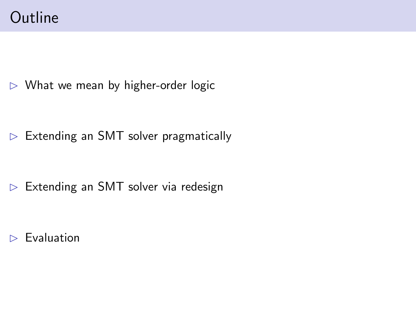### **Outline**

 $\triangleright$  What we mean by higher-order logic

 $\triangleright$  Extending an SMT solver pragmatically

 $\triangleright$  Extending an SMT solver via redesign

 $\triangleright$  Evaluation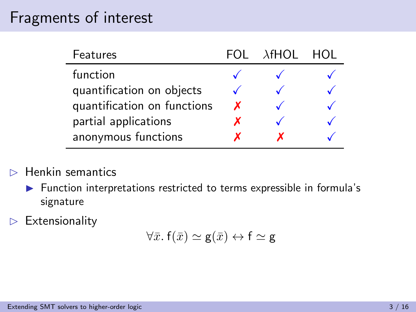### Fragments of interest

| <b>Features</b>             |   | FOL AHOL | - HOL |
|-----------------------------|---|----------|-------|
| function                    |   |          |       |
| quantification on objects   |   |          |       |
| quantification on functions | x |          |       |
| partial applications        | x |          |       |
| anonymous functions         |   |          |       |

### $\triangleright$  Henkin semantics

- $\blacktriangleright$  Function interpretations restricted to terms expressible in formula's signature
- $\triangleright$  Extensionality

$$
\forall \bar{x}.\ f(\bar{x}) \simeq \mathsf{g}(\bar{x}) \leftrightarrow \mathsf{f} \simeq \mathsf{g}
$$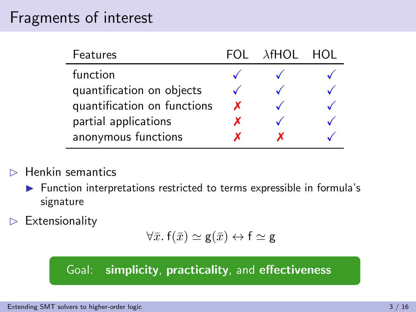### Fragments of interest

| Features                    |   | FOL <i>Af</i> HOL | - HOL |
|-----------------------------|---|-------------------|-------|
| function                    |   |                   |       |
| quantification on objects   |   |                   |       |
| quantification on functions | x |                   |       |
| partial applications        | х |                   |       |
| anonymous functions         |   |                   |       |

### $\triangleright$  Henkin semantics

- $\blacktriangleright$  Function interpretations restricted to terms expressible in formula's signature
- $\triangleright$  Extensionality

$$
\forall \bar{x}. f(\bar{x}) \simeq \mathsf{g}(\bar{x}) \leftrightarrow f \simeq \mathsf{g}
$$

### Goal: simplicity, practicality, and effectiveness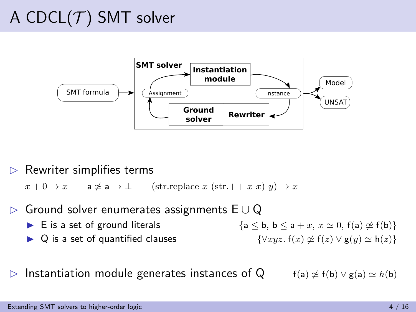# A CDCL $(T)$  SMT solver



 $\triangleright$  Rewriter simplifies terms

 $x + 0 \to x$  a  $x \neq a \to \bot$  (str.replace x (str.++ x x) y)  $\to x$ 

- B Ground solver enumerates assignments E ∪ Q
	- **I** E is a set of ground literals  ${a \le b, b \le a + x, x \simeq 0, f(a) \not\approx f(b)}$
	-

**I** Q is a set of quantified clauses  $\{\forall xyz. f(x) \nsubseteq f(z) \lor g(y) \simeq h(z)\}\$ 

 $\triangleright$  Instantiation module generates instances of Q f(a)  $\leq f(b) \vee g(a) \simeq h(b)$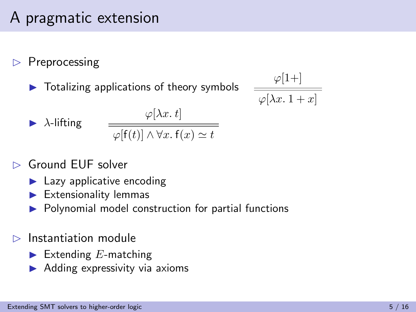# A pragmatic extension

### $\triangleright$  Preprocessing

 $\triangleright$  Totalizing applications of theory symbols

$$
\frac{\varphi[1+]}{\varphi[\lambda x.\, 1+x]}
$$

$$
\blacktriangleright \ \lambda\text{-lifting}
$$

$$
\frac{\varphi[\lambda x. t]}{\varphi[f(t)] \land \forall x. f(x) \simeq t}
$$

$$
\triangleright \text{ Ground EUF solver}
$$

- $\blacktriangleright$  Lazy applicative encoding
- $\blacktriangleright$  Extensionality lemmas
- $\blacktriangleright$  Polynomial model construction for partial functions

### $\triangleright$  Instantiation module

- Extending  $E$ -matching
- $\blacktriangleright$  Adding expressivity via axioms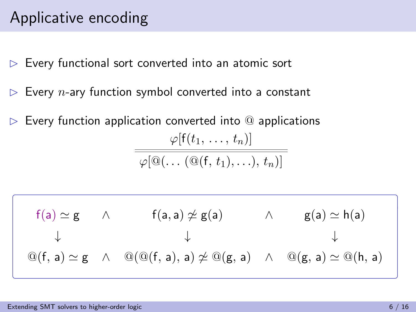## Applicative encoding

- $\triangleright$  Every functional sort converted into an atomic sort
- $\triangleright$  Every *n*-ary function symbol converted into a constant
- $\triangleright$  Every function application converted into  $\odot$  applications  $\varphi[f(t_1, \ldots, t_n)]$  $\overbrace{\phi[\mathbb{Q}(\ldots (\mathbb{Q}(\mathfrak{f},t_1),\ldots),t_n)]}$

$$
\left(\begin{array}{cccc}f(a)\simeq g & \wedge & f(a,a)\not\simeq g(a) & \wedge & g(a)\simeq h(a)\\ \downarrow & & \downarrow & & \downarrow\\ \textcircled{a}(f,a)\simeq g & \wedge & \textcircled{a}(\textcircled{a}(f,a),a)\not\simeq \textcircled{a}(g,a) & \wedge & \textcircled{a}(g,a)\simeq \textcircled{a}(h,a)\end{array}\right)
$$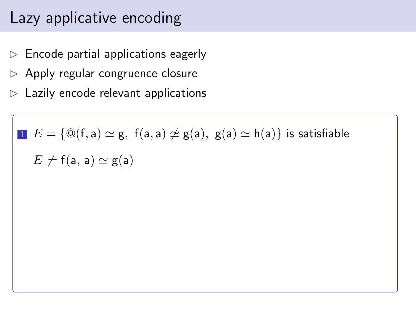# Lazy applicative encoding

- $\triangleright$  Encode partial applications eagerly
- $\triangleright$  Apply regular congruence closure
- $\triangleright$  Lazily encode relevant applications

**I** 
$$
E = {\omega(f, a) \simeq g, f(a, a) \not\simeq g(a), g(a) \simeq h(a)}
$$
 is satisfiable  
 $E \not\models f(a, a) \simeq g(a)$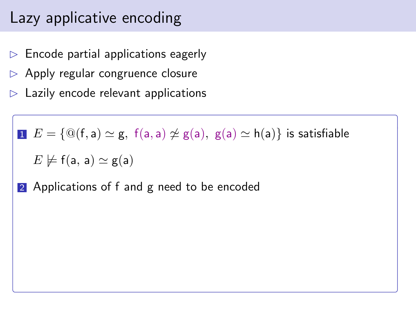# Lazy applicative encoding

- $\triangleright$  Encode partial applications eagerly
- $\triangleright$  Apply regular congruence closure
- $\triangleright$  Lazily encode relevant applications

$$
\blacksquare\ E = \{\textcircled{a}(f,a) \simeq g,\ f(a,a) \not\simeq g(a),\ g(a) \simeq h(a)\} \ \text{is satisfiable}
$$

$$
E \not\models \mathsf{f}(\mathsf{a},\,\mathsf{a}) \simeq \mathsf{g}(\mathsf{a})
$$

2 Applications of f and g need to be encoded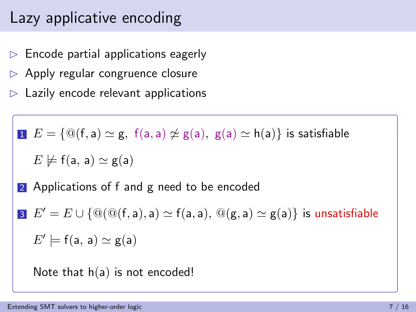# Lazy applicative encoding

- $\triangleright$  Encode partial applications eagerly
- $\triangleright$  Apply regular congruence closure
- $\triangleright$  Lazily encode relevant applications

$$
\blacksquare\ \ E = \{\textcircled{a}(\mathsf{f},\mathsf{a}) \simeq \mathsf{g},\ \mathsf{f}(\mathsf{a},\mathsf{a}) \not\simeq \mathsf{g}(\mathsf{a}),\ \mathsf{g}(\mathsf{a}) \simeq \mathsf{h}(\mathsf{a})\}\ \ \text{is satisfiable}
$$

$$
E \not\models \mathsf{f}(\mathsf{a},\,\mathsf{a}) \simeq \mathsf{g}(\mathsf{a})
$$

2 Applications of f and g need to be encoded

3 
$$
E' = E \cup \{ \mathcal{Q}(\mathcal{Q}(f, a), a) \simeq f(a, a), \mathcal{Q}(g, a) \simeq g(a) \}
$$
 is unsatisfiable  
 $E' \models f(a, a) \simeq g(a)$ 

Note that  $h(a)$  is not encoded!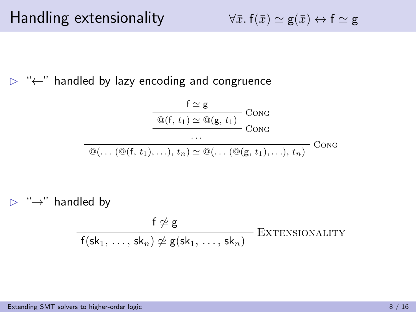$$
\forall \bar{x}.\ f(\bar{x}) \simeq \mathsf{g}(\bar{x}) \leftrightarrow \mathsf{f} \simeq \mathsf{g}
$$

B "←" handled by lazy encoding and congruence

$$
\frac{f \simeq g}{\text{Q}(f, t_1) \simeq \text{Q}(g, t_1)} \text{Cong}
$$
\n...\n
$$
\overbrace{\text{Q}(\dots (\text{Q}(f, t_1), \dots), t_n) \simeq \text{Q}(\dots (\text{Q}(g, t_1), \dots), t_n)}^{\text{CONG}} \text{Cong}}
$$

 $\triangleright$  " $\rightarrow$ " handled by

$$
\frac{f \not\simeq g}{f(\mathsf{sk}_1, \ldots, \mathsf{sk}_n) \not\simeq g(\mathsf{sk}_1, \ldots, \mathsf{sk}_n)} \quad \text{EXTENSIONALITY}
$$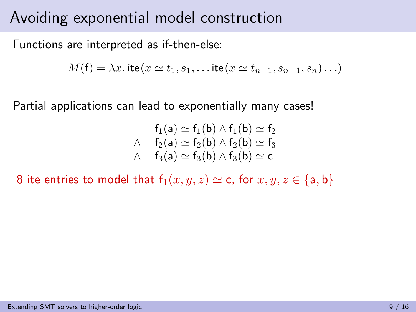Functions are interpreted as if-then-else:

$$
M(f) = \lambda x. \text{ ite}(x \simeq t_1, s_1, \dots \text{ ite}(x \simeq t_{n-1}, s_{n-1}, s_n) \dots)
$$

Partial applications can lead to exponentially many cases!

$$
f_1(a) \simeq f_1(b) \wedge f_1(b) \simeq f_2
$$
  

$$
\wedge \quad f_2(a) \simeq f_2(b) \wedge f_2(b) \simeq f_3
$$
  

$$
\wedge \quad f_3(a) \simeq f_3(b) \wedge f_3(b) \simeq c
$$

8 ite entries to model that  $f_1(x, y, z) \simeq c$ , for  $x, y, z \in \{a, b\}$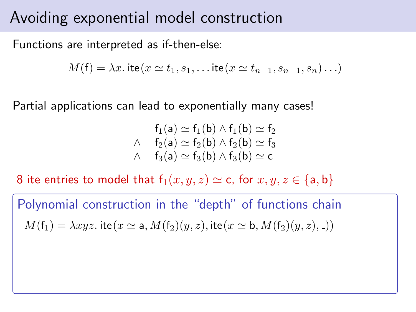Functions are interpreted as if-then-else:

$$
M(\mathsf{f}) = \lambda x.\,\mathsf{ite}(x \simeq t_1, s_1, \ldots \mathsf{ite}(x \simeq t_{n-1}, s_{n-1}, s_n) \ldots)
$$

Partial applications can lead to exponentially many cases!

$$
f_1(a) \simeq f_1(b) \wedge f_1(b) \simeq f_2
$$
  

$$
\wedge \quad f_2(a) \simeq f_2(b) \wedge f_2(b) \simeq f_3
$$
  

$$
\wedge \quad f_3(a) \simeq f_3(b) \wedge f_3(b) \simeq c
$$

8 ite entries to model that  $f_1(x, y, z) \simeq c$ , for  $x, y, z \in \{a, b\}$ 

Polynomial construction in the "depth" of functions chain  $M(f_1) = \lambda xyz$ . ite $(x \simeq a, M(f_2)(y, z)$ , ite $(x \simeq b, M(f_2)(y, z)$ ,  $))$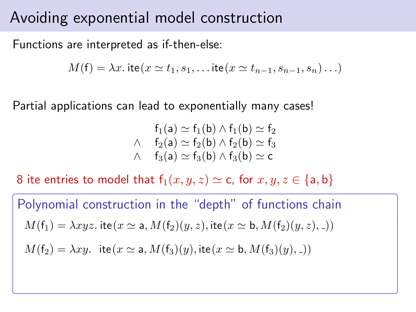Functions are interpreted as if-then-else:

$$
M(\mathsf{f}) = \lambda x.\,\mathsf{ite}(x \simeq t_1, s_1, \ldots \mathsf{ite}(x \simeq t_{n-1}, s_{n-1}, s_n) \ldots)
$$

Partial applications can lead to exponentially many cases!

$$
f_1(a) \simeq f_1(b) \wedge f_1(b) \simeq f_2
$$
  

$$
\wedge \quad f_2(a) \simeq f_2(b) \wedge f_2(b) \simeq f_3
$$
  

$$
\wedge \quad f_3(a) \simeq f_3(b) \wedge f_3(b) \simeq c
$$

8 ite entries to model that  $f_1(x, y, z) \simeq c$ , for  $x, y, z \in \{a, b\}$ 

Polynomial construction in the "depth" of functions chain  $M(f_1) = \lambda xyz$ . ite $(x \simeq a, M(f_2)(y, z)$ , ite $(x \simeq b, M(f_2)(y, z)$ ,  $))$  $M(f_2) = \lambda xy$ . ite $(x \simeq a, M(f_3)(y)$ , ite $(x \simeq b, M(f_3)(y),$ )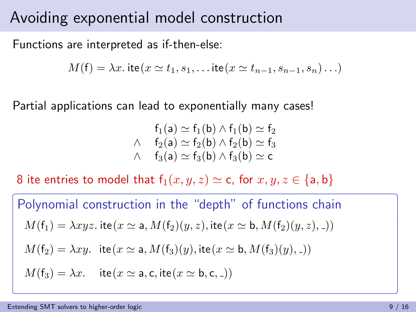Functions are interpreted as if-then-else:

$$
M(\mathsf{f}) = \lambda x.\,\mathsf{ite}(x \simeq t_1, s_1, \ldots \mathsf{ite}(x \simeq t_{n-1}, s_{n-1}, s_n) \ldots)
$$

Partial applications can lead to exponentially many cases!

$$
f_1(a) \simeq f_1(b) \wedge f_1(b) \simeq f_2
$$
  

$$
\wedge \quad f_2(a) \simeq f_2(b) \wedge f_2(b) \simeq f_3
$$
  

$$
\wedge \quad f_3(a) \simeq f_3(b) \wedge f_3(b) \simeq c
$$

8 ite entries to model that  $f_1(x, y, z) \simeq c$ , for  $x, y, z \in \{a, b\}$ 

Polynomial construction in the "depth" of functions chain  $M(f_1) = \lambda xyz$ . ite $(x \simeq a, M(f_2)(y, z)$ , ite $(x \simeq b, M(f_2)(y, z)$ ,  $))$  $M(f_2) = \lambda xy$ . ite $(x \simeq a, M(f_3)(y)$ , ite $(x \simeq b, M(f_3)(y)$ ,  $))$  $M(f_3) = \lambda x$ . ite $(x \simeq a, c, ite(x \simeq b, c, ...)$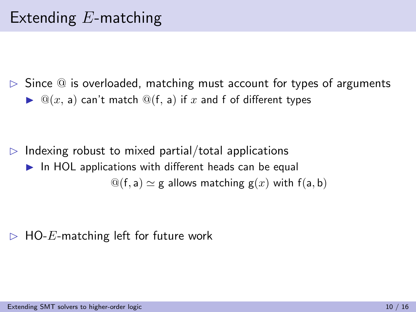$\triangleright$  Since  $\circledcirc$  is overloaded, matching must account for types of arguments  $\triangleright$   $\mathcal{Q}(x, a)$  can't match  $\mathcal{Q}(f, a)$  if x and f of different types

 $\triangleright$  Indexing robust to mixed partial/total applications  $\blacktriangleright$  In HOL applications with different heads can be equal  $\mathcal{Q}(f, a) \simeq g$  allows matching  $g(x)$  with  $f(a, b)$ 

 $\triangleright$  HO-E-matching left for future work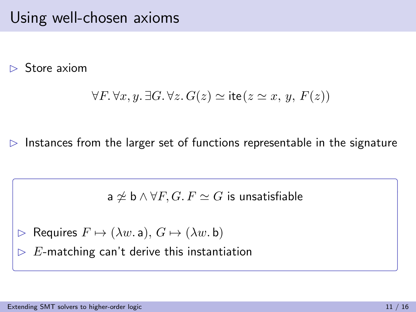$\triangleright$  Store axiom

$$
\forall F. \forall x, y. \exists G. \forall z. G(z) \simeq \text{ite}(z \simeq x, y, F(z))
$$

 $\triangleright$  Instances from the larger set of functions representable in the signature

 $a \not\simeq b \wedge \forall F, G, F \simeq G$  is unsatisfiable

$$
\triangleright \ \mathsf{Requirements}\ F \mapsto (\lambda w.\ \mathsf{a}),\ G \mapsto (\lambda w.\ \mathsf{b})
$$

 $\triangleright$  E-matching can't derive this instantiation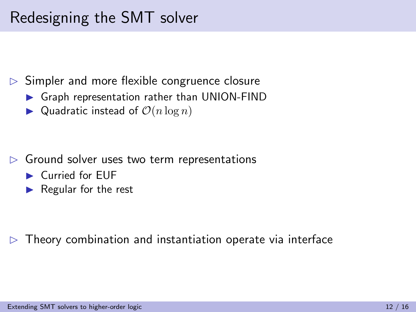$\triangleright$  Simpler and more flexible congruence closure

- $\triangleright$  Graph representation rather than UNION-FIND
- $\blacktriangleright$  Quadratic instead of  $\mathcal{O}(n \log n)$

- $\triangleright$  Ground solver uses two term representations
	- ▶ Curried for EUF
	- $\blacktriangleright$  Regular for the rest

 $\triangleright$  Theory combination and instantiation operate via interface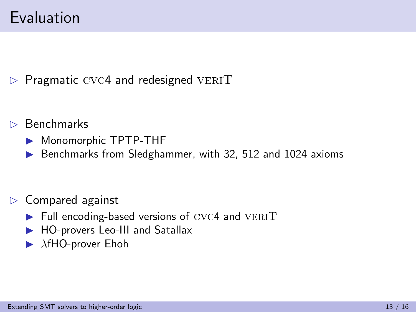$\triangleright$  Pragmatic CVC4 and redesigned VERIT

- $\triangleright$  Benchmarks
	- $\blacktriangleright$  Monomorphic TPTP-THF
	- $\triangleright$  Benchmarks from Sledghammer, with 32, 512 and 1024 axioms

- $\triangleright$  Compared against
	- $\blacktriangleright$  Full encoding-based versions of CVC4 and VERIT
	- $\blacktriangleright$  HO-provers Leo-III and Satallax
	- $\blacktriangleright$   $\lambda$ fHO-prover Ehoh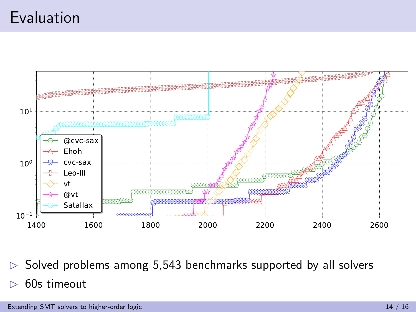### Evaluation



 $\triangleright$  Solved problems among 5,543 benchmarks supported by all solvers 60s timeout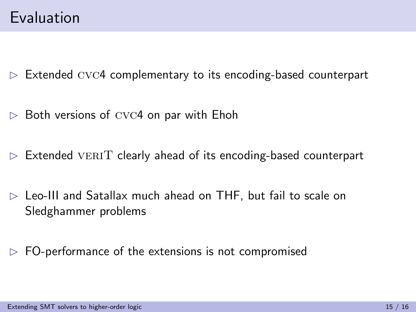$\triangleright$  Extended CVC4 complementary to its encoding-based counterpart

- $\triangleright$  Both versions of CVC4 on par with Ehoh
- $\triangleright$  Extended VERIT clearly ahead of its encoding-based counterpart
- $\triangleright$  Leo-III and Satallax much ahead on THF, but fail to scale on Sledghammer problems
- $\triangleright$  FO-performance of the extensions is not compromised